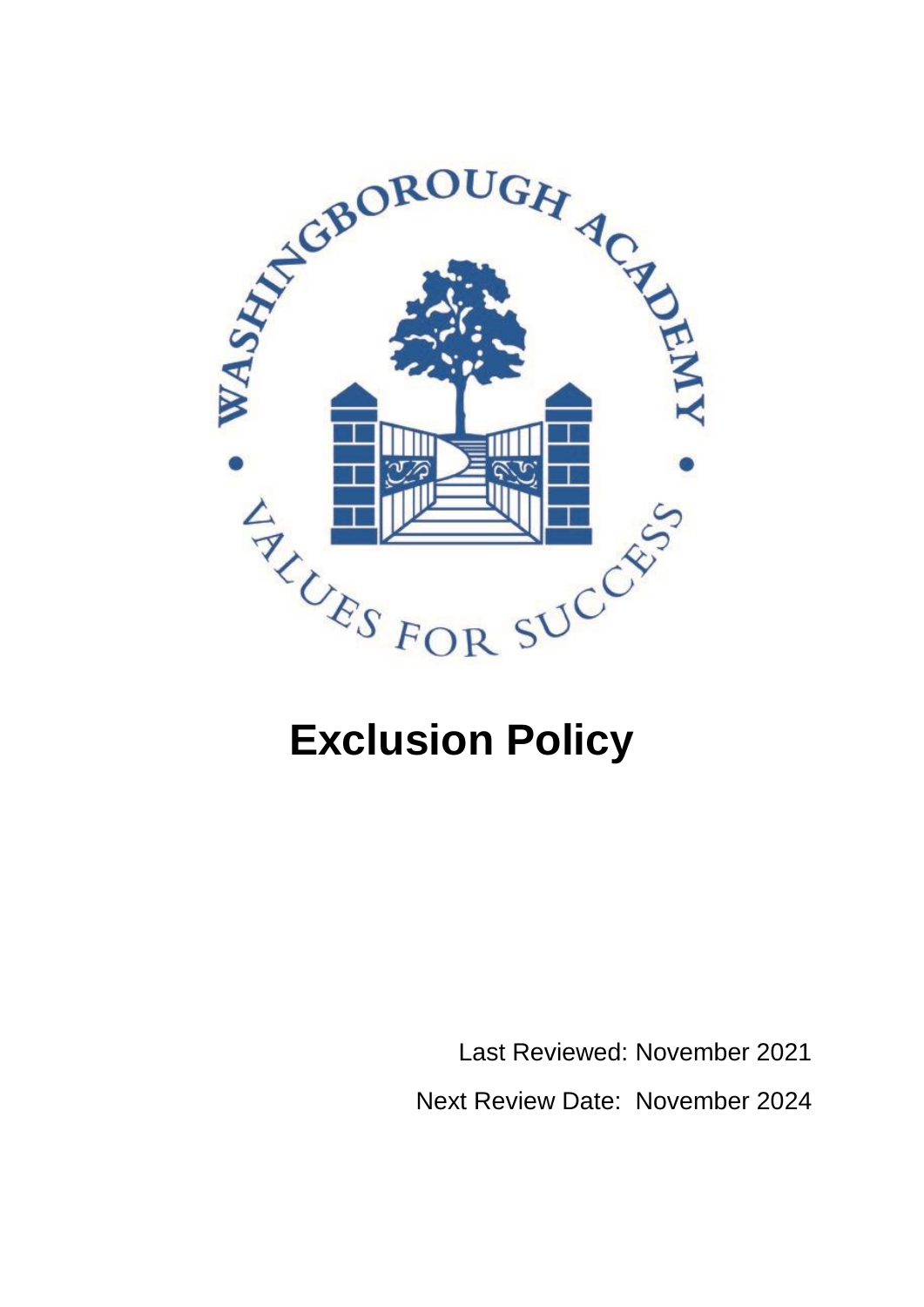

Last Reviewed: November 2021 Next Review Date: November 2024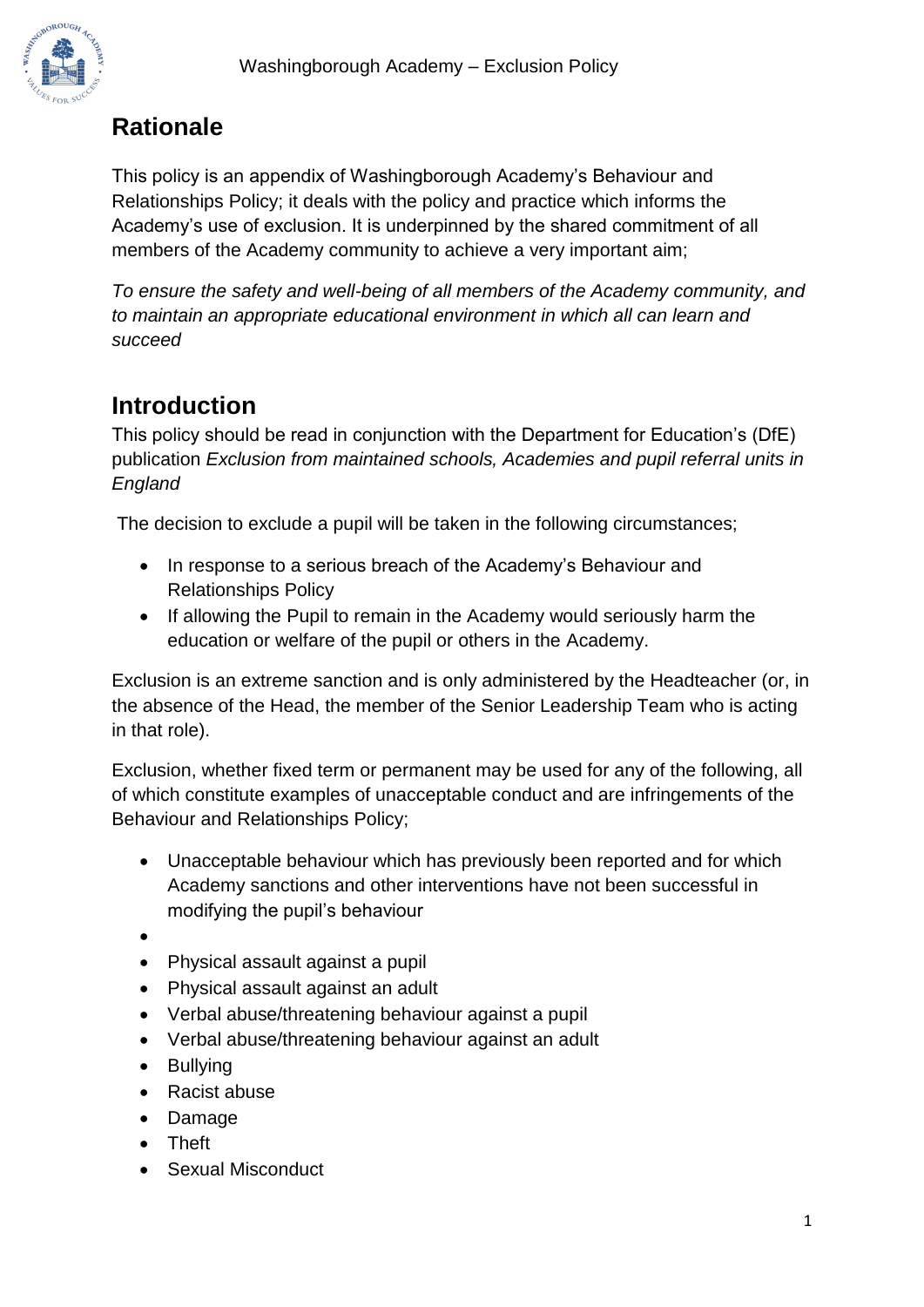

# **Rationale**

This policy is an appendix of Washingborough Academy's Behaviour and Relationships Policy; it deals with the policy and practice which informs the Academy's use of exclusion. It is underpinned by the shared commitment of all members of the Academy community to achieve a very important aim;

*To ensure the safety and well-being of all members of the Academy community, and to maintain an appropriate educational environment in which all can learn and succeed* 

## **Introduction**

This policy should be read in conjunction with the Department for Education's (DfE) publication *[Exclusion from maintained schools, Academies and pupil referral units in](https://assets.publishing.service.gov.uk/government/uploads/system/uploads/attachment_data/file/921405/20170831_Exclusion_Stat_guidance_Web_version.pdf)  [England](https://assets.publishing.service.gov.uk/government/uploads/system/uploads/attachment_data/file/921405/20170831_Exclusion_Stat_guidance_Web_version.pdf)*

The decision to exclude a pupil will be taken in the following circumstances;

- In response to a serious breach of the Academy's Behaviour and Relationships Policy
- If allowing the Pupil to remain in the Academy would seriously harm the education or welfare of the pupil or others in the Academy.

Exclusion is an extreme sanction and is only administered by the Headteacher (or, in the absence of the Head, the member of the Senior Leadership Team who is acting in that role).

Exclusion, whether fixed term or permanent may be used for any of the following, all of which constitute examples of unacceptable conduct and are infringements of the Behaviour and Relationships Policy;

- Unacceptable behaviour which has previously been reported and for which Academy sanctions and other interventions have not been successful in modifying the pupil's behaviour
- •
- Physical assault against a pupil
- Physical assault against an adult
- Verbal abuse/threatening behaviour against a pupil
- Verbal abuse/threatening behaviour against an adult
- Bullying
- Racist abuse
- Damage
- Theft
- Sexual Misconduct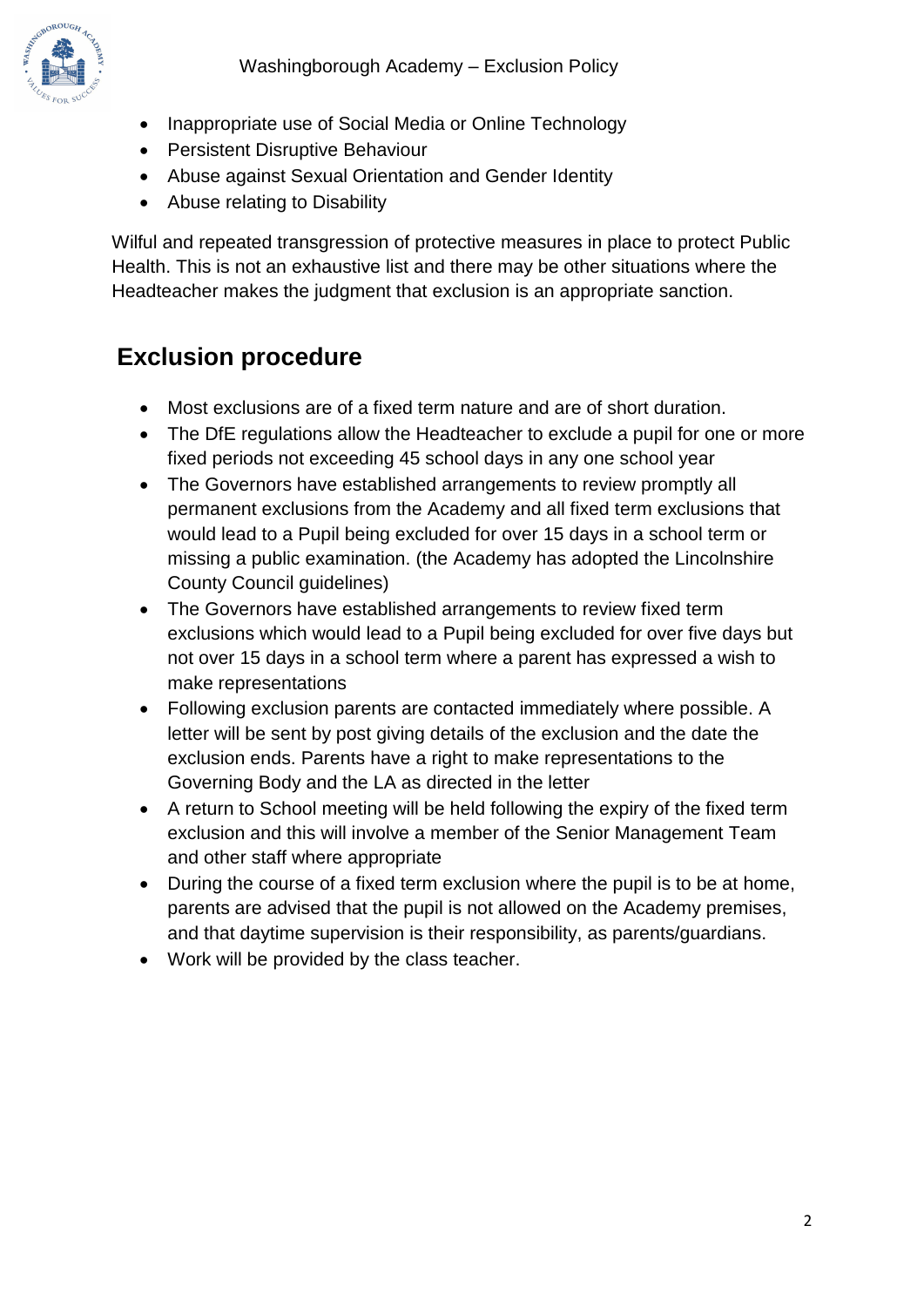

- Inappropriate use of Social Media or Online Technology
- Persistent Disruptive Behaviour
- Abuse against Sexual Orientation and Gender Identity
- Abuse relating to Disability

Wilful and repeated transgression of protective measures in place to protect Public Health. This is not an exhaustive list and there may be other situations where the Headteacher makes the judgment that exclusion is an appropriate sanction.

# **Exclusion procedure**

- Most exclusions are of a fixed term nature and are of short duration.
- The DfE regulations allow the Headteacher to exclude a pupil for one or more fixed periods not exceeding 45 school days in any one school year
- The Governors have established arrangements to review promptly all permanent exclusions from the Academy and all fixed term exclusions that would lead to a Pupil being excluded for over 15 days in a school term or missing a public examination. (the Academy has adopted the Lincolnshire County Council guidelines)
- The Governors have established arrangements to review fixed term exclusions which would lead to a Pupil being excluded for over five days but not over 15 days in a school term where a parent has expressed a wish to make representations
- Following exclusion parents are contacted immediately where possible. A letter will be sent by post giving details of the exclusion and the date the exclusion ends. Parents have a right to make representations to the Governing Body and the LA as directed in the letter
- A return to School meeting will be held following the expiry of the fixed term exclusion and this will involve a member of the Senior Management Team and other staff where appropriate
- During the course of a fixed term exclusion where the pupil is to be at home, parents are advised that the pupil is not allowed on the Academy premises, and that daytime supervision is their responsibility, as parents/guardians.
- Work will be provided by the class teacher.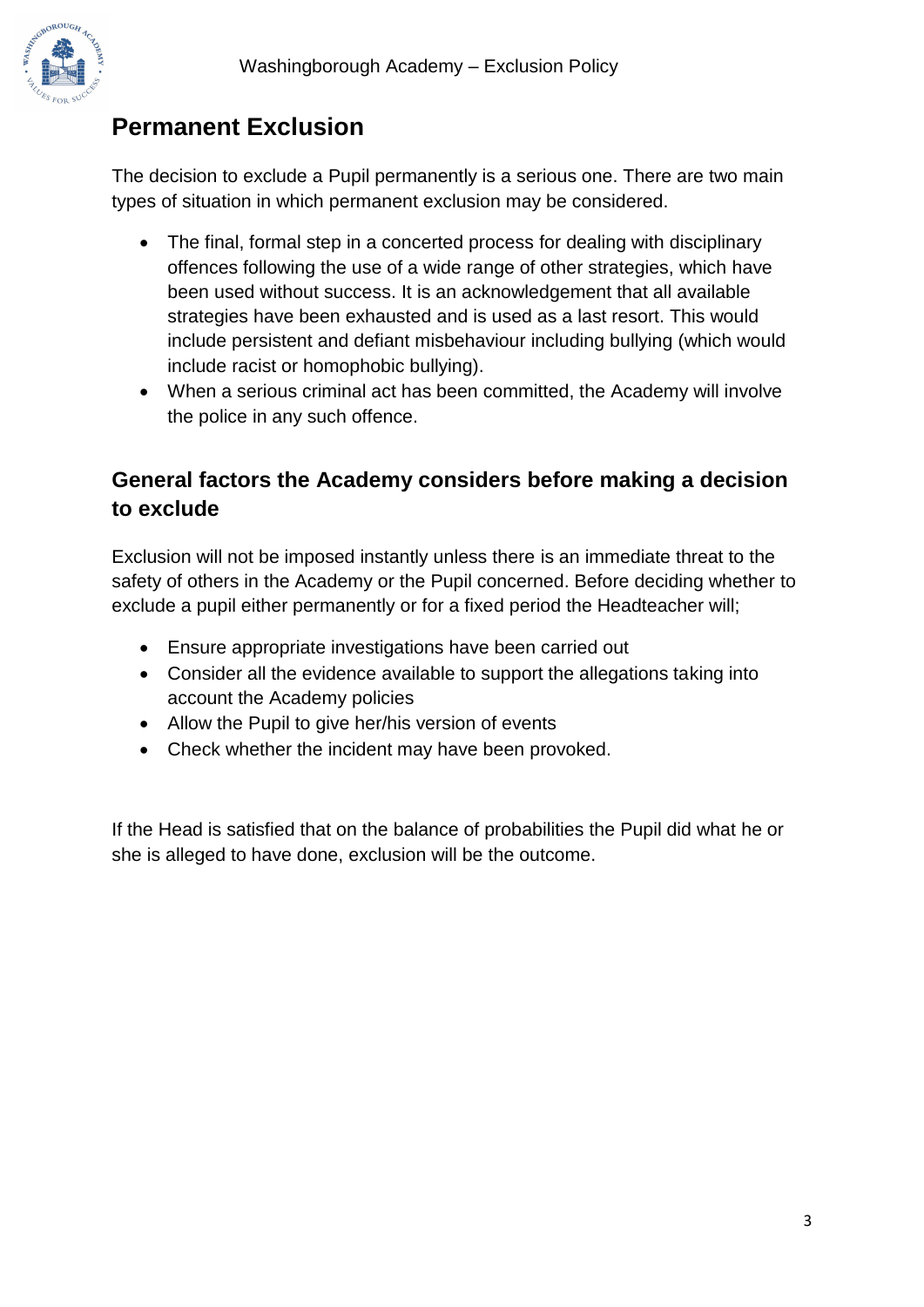

# **Permanent Exclusion**

The decision to exclude a Pupil permanently is a serious one. There are two main types of situation in which permanent exclusion may be considered.

- The final, formal step in a concerted process for dealing with disciplinary offences following the use of a wide range of other strategies, which have been used without success. It is an acknowledgement that all available strategies have been exhausted and is used as a last resort. This would include persistent and defiant misbehaviour including bullying (which would include racist or homophobic bullying).
- When a serious criminal act has been committed, the Academy will involve the police in any such offence.

## **General factors the Academy considers before making a decision to exclude**

Exclusion will not be imposed instantly unless there is an immediate threat to the safety of others in the Academy or the Pupil concerned. Before deciding whether to exclude a pupil either permanently or for a fixed period the Headteacher will;

- Ensure appropriate investigations have been carried out
- Consider all the evidence available to support the allegations taking into account the Academy policies
- Allow the Pupil to give her/his version of events
- Check whether the incident may have been provoked.

If the Head is satisfied that on the balance of probabilities the Pupil did what he or she is alleged to have done, exclusion will be the outcome.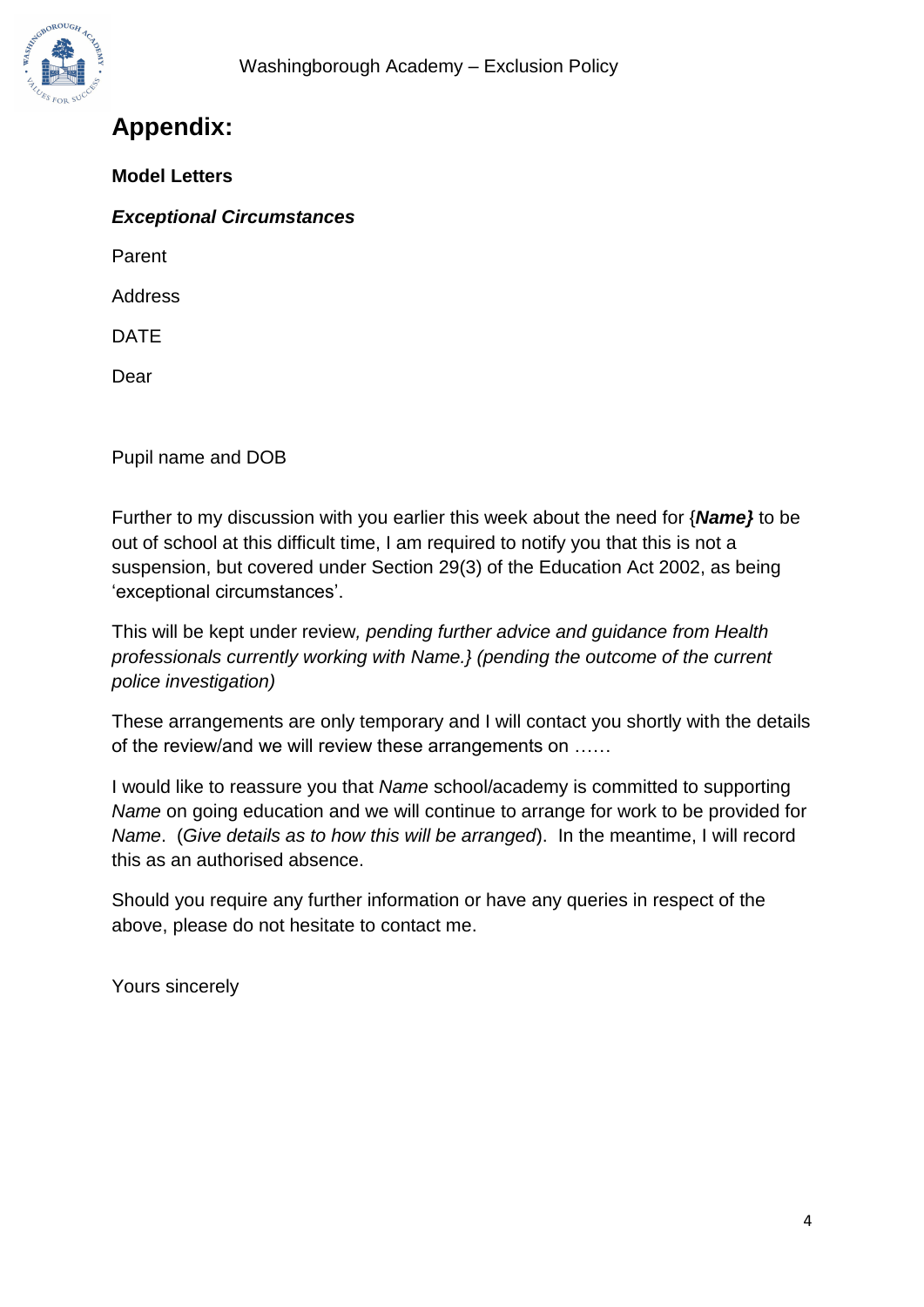

## **Appendix:**

**Model Letters**

*Exceptional Circumstances*

Parent

Address

DATE

Dear

Pupil name and DOB

Further to my discussion with you earlier this week about the need for {*Name}* to be out of school at this difficult time, I am required to notify you that this is not a suspension, but covered under Section 29(3) of the Education Act 2002, as being 'exceptional circumstances'.

This will be kept under review*, pending further advice and guidance from Health professionals currently working with Name.} (pending the outcome of the current police investigation)*

These arrangements are only temporary and I will contact you shortly with the details of the review/and we will review these arrangements on ……

I would like to reassure you that *Name* school/academy is committed to supporting *Name* on going education and we will continue to arrange for work to be provided for *Name*. (*Give details as to how this will be arranged*). In the meantime, I will record this as an authorised absence.

Should you require any further information or have any queries in respect of the above, please do not hesitate to contact me.

Yours sincerely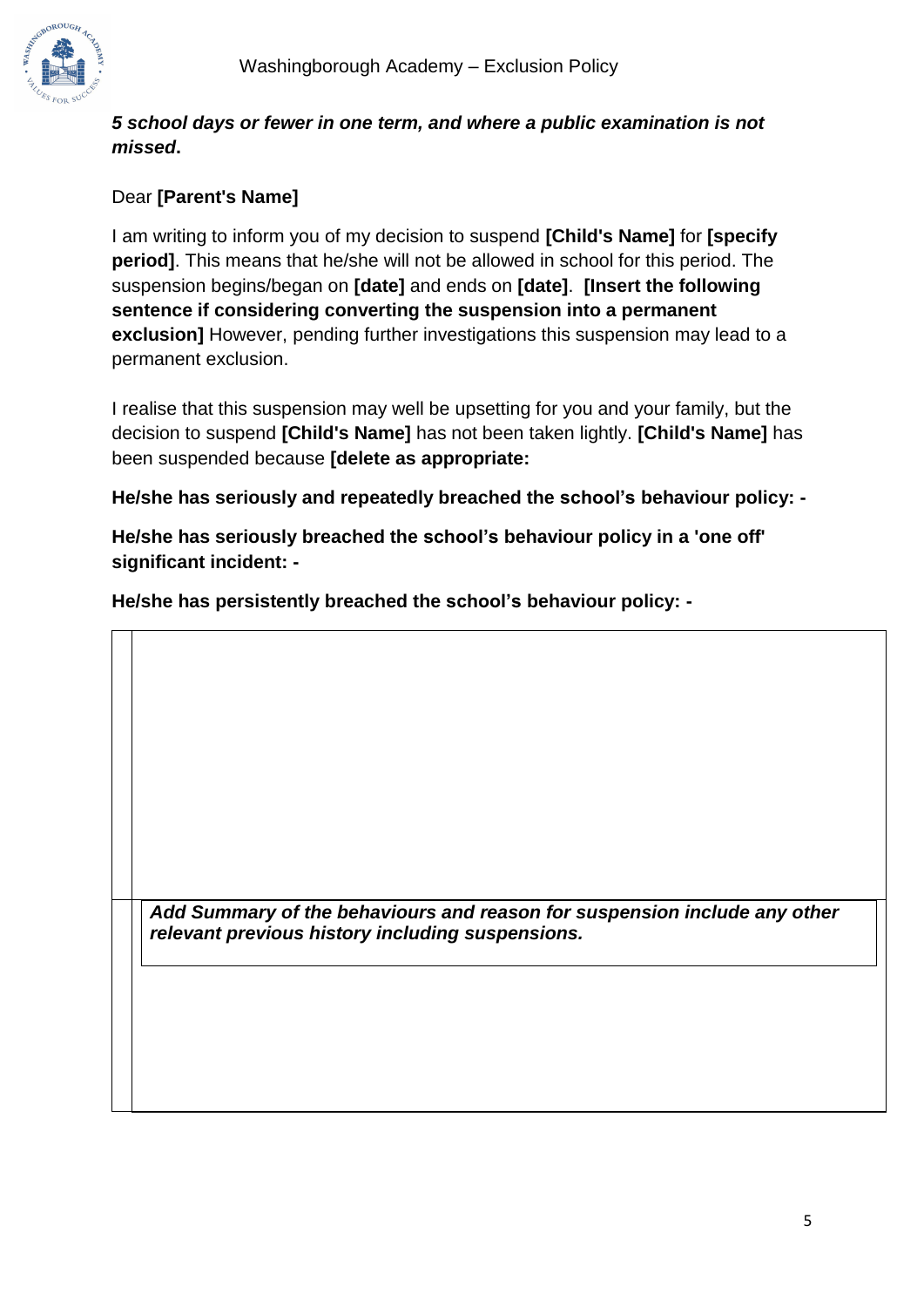

#### *5 school days or fewer in one term, and where a public examination is not missed***.**

#### Dear **[Parent's Name]**

I am writing to inform you of my decision to suspend **[Child's Name]** for **[specify period]**. This means that he/she will not be allowed in school for this period. The suspension begins/began on **[date]** and ends on **[date]**. **[Insert the following sentence if considering converting the suspension into a permanent exclusion]** However, pending further investigations this suspension may lead to a permanent exclusion.

I realise that this suspension may well be upsetting for you and your family, but the decision to suspend **[Child's Name]** has not been taken lightly. **[Child's Name]** has been suspended because **[delete as appropriate:**

**He/she has seriously and repeatedly breached the school's behaviour policy: -**

**He/she has seriously breached the school's behaviour policy in a 'one off' significant incident: -**

**He/she has persistently breached the school's behaviour policy: -**

*Add Summary of the behaviours and reason for suspension include any other relevant previous history including suspensions.*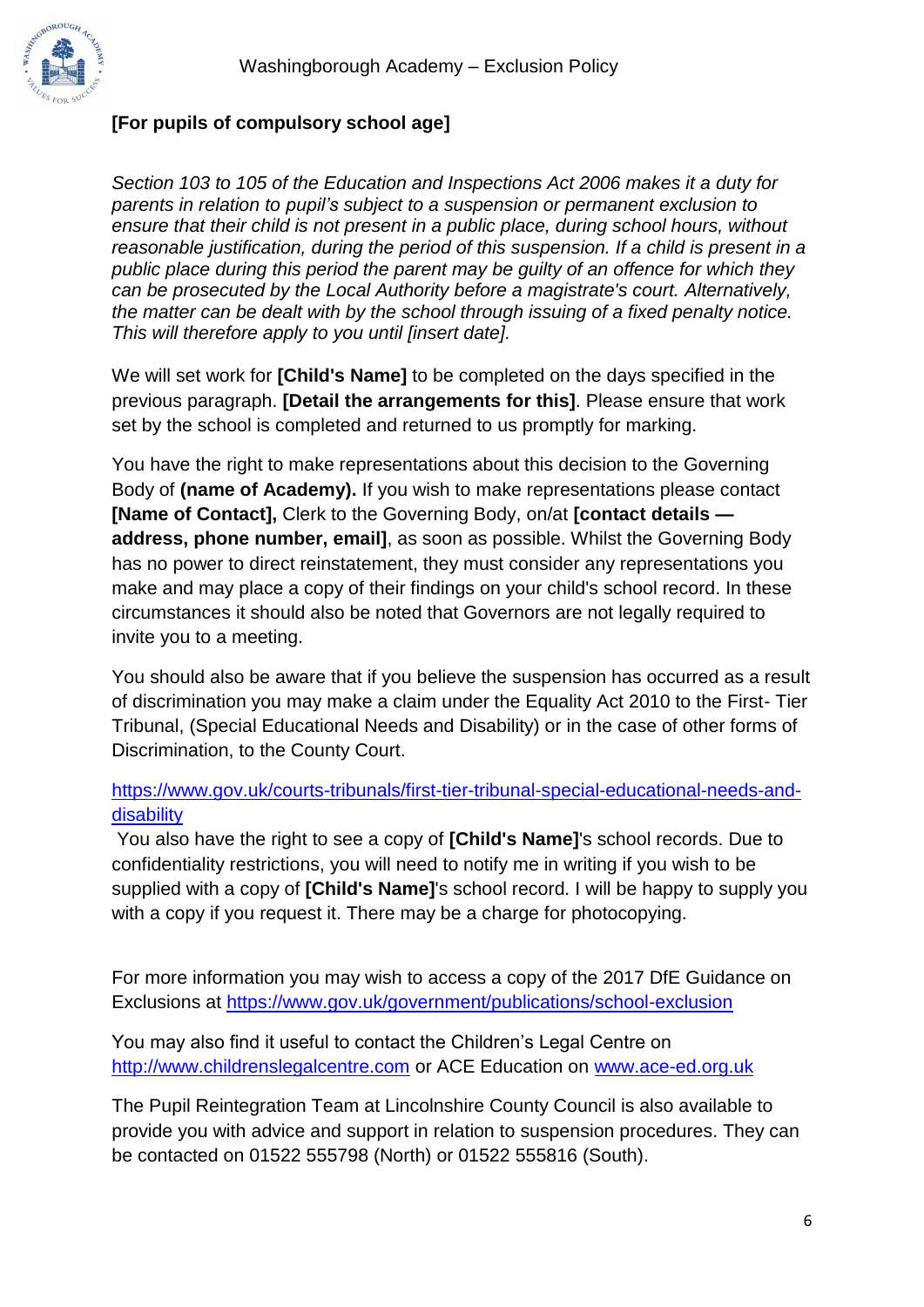

#### **[For pupils of compulsory school age]**

*Section 103 to 105 of the Education and Inspections Act 2006 makes it a duty for parents in relation to pupil's subject to a suspension or permanent exclusion to ensure that their child is not present in a public place, during school hours, without reasonable justification, during the period of this suspension. If a child is present in a public place during this period the parent may be guilty of an offence for which they can be prosecuted by the Local Authority before a magistrate's court. Alternatively, the matter can be dealt with by the school through issuing of a fixed penalty notice. This will therefore apply to you until [insert date].*

We will set work for **[Child's Name]** to be completed on the days specified in the previous paragraph. **[Detail the arrangements for this]**. Please ensure that work set by the school is completed and returned to us promptly for marking.

You have the right to make representations about this decision to the Governing Body of **(name of Academy).** If you wish to make representations please contact **[Name of Contact],** Clerk to the Governing Body, on/at **[contact details address, phone number, email]**, as soon as possible. Whilst the Governing Body has no power to direct reinstatement, they must consider any representations you make and may place a copy of their findings on your child's school record. In these circumstances it should also be noted that Governors are not legally required to invite you to a meeting.

You should also be aware that if you believe the suspension has occurred as a result of discrimination you may make a claim under the Equality Act 2010 to the First- Tier Tribunal, (Special Educational Needs and Disability) or in the case of other forms of Discrimination, to the County Court.

[https://www.gov.uk/courts-tribunals/first-tier-tribunal-special-educational-needs-and](https://www.gov.uk/courts-tribunals/first-tier-tribunal-special-educational-needs-and-disability)[disability](https://www.gov.uk/courts-tribunals/first-tier-tribunal-special-educational-needs-and-disability)

You also have the right to see a copy of **[Child's Name]**'s school records. Due to confidentiality restrictions, you will need to notify me in writing if you wish to be supplied with a copy of **[Child's Name]**'s school record. I will be happy to supply you with a copy if you request it. There may be a charge for photocopying.

For more information you may wish to access a copy of the 2017 DfE Guidance on Exclusions at<https://www.gov.uk/government/publications/school-exclusion>

You may also find it useful to contact the Children's Legal Centre on [http://www.childrenslegalcentre.com](http://www.childrenslegalcentre.com/) or ACE Education on [www.ace-ed.org.uk](http://www.ace-ed.org.uk/)

The Pupil Reintegration Team at Lincolnshire County Council is also available to provide you with advice and support in relation to suspension procedures. They can be contacted on 01522 555798 (North) or 01522 555816 (South).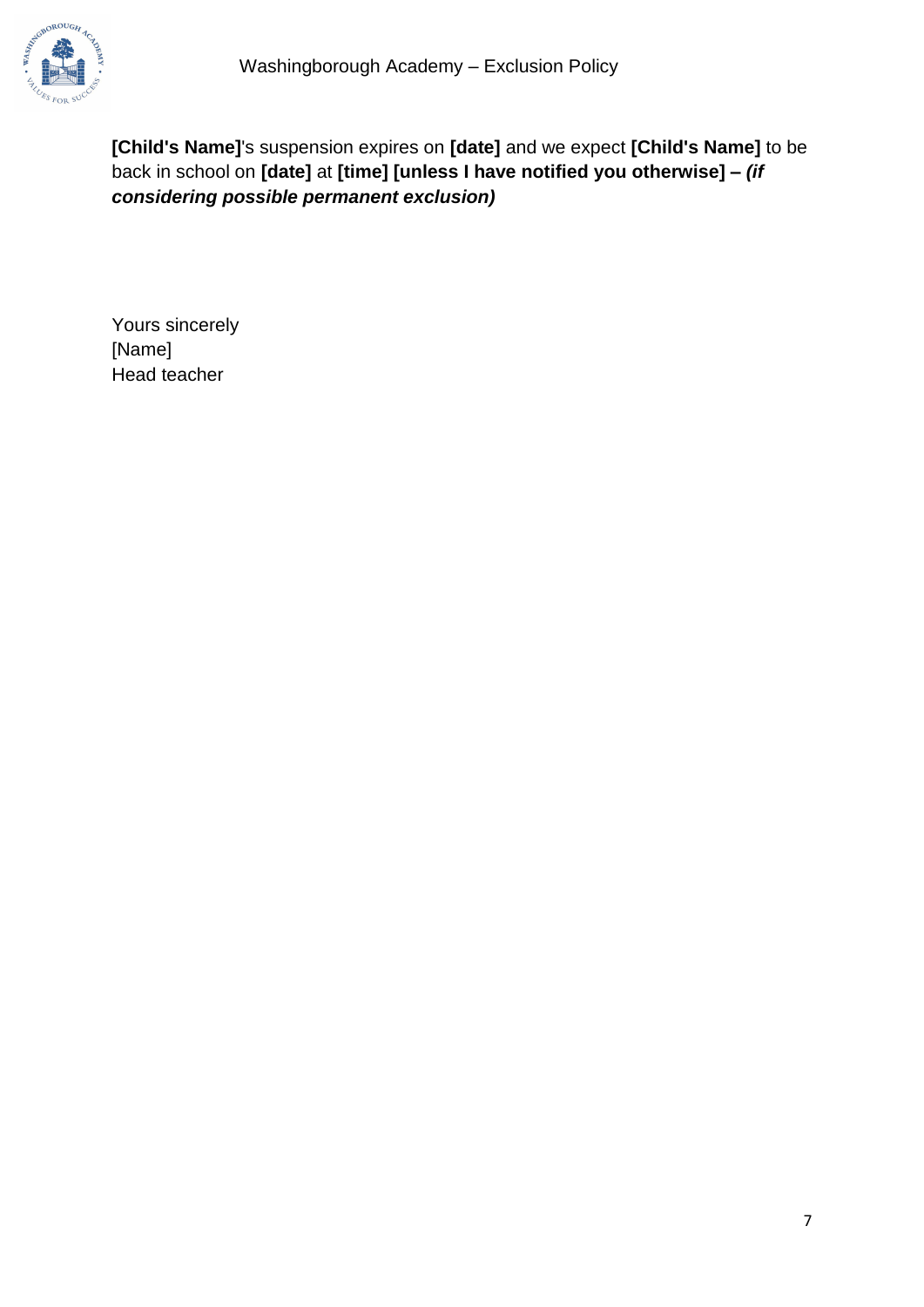

**[Child's Name]**'s suspension expires on **[date]** and we expect **[Child's Name]** to be back in school on **[date]** at **[time] [unless I have notified you otherwise] –** *(if considering possible permanent exclusion)*

Yours sincerely [Name] Head teacher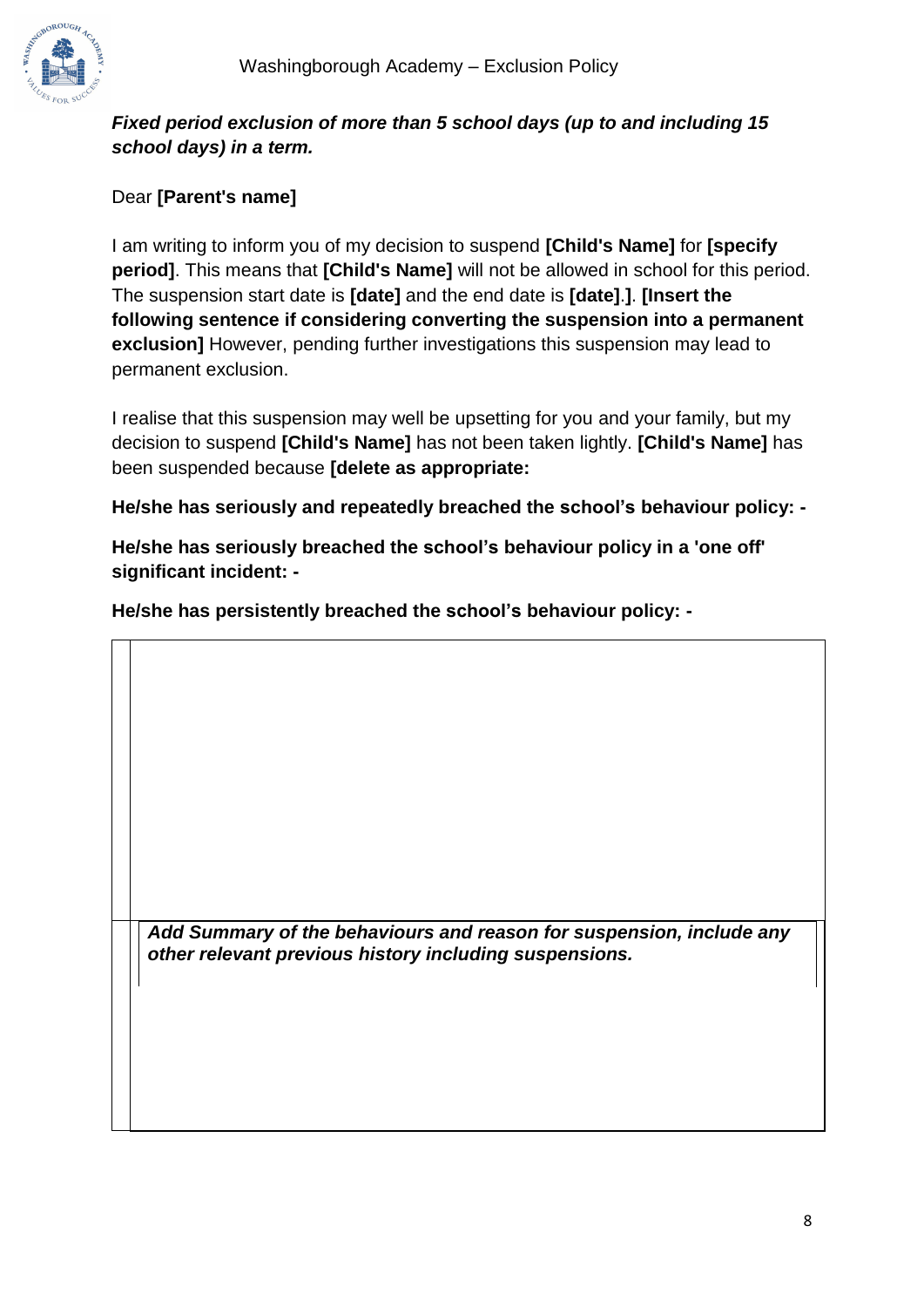

#### *Fixed period exclusion of more than 5 school days (up to and including 15 school days) in a term.*

#### Dear **[Parent's name]**

I am writing to inform you of my decision to suspend **[Child's Name]** for **[specify period]**. This means that **[Child's Name]** will not be allowed in school for this period. The suspension start date is **[date]** and the end date is **[date]**.**]**. **[Insert the following sentence if considering converting the suspension into a permanent exclusion]** However, pending further investigations this suspension may lead to permanent exclusion.

I realise that this suspension may well be upsetting for you and your family, but my decision to suspend **[Child's Name]** has not been taken lightly. **[Child's Name]** has been suspended because **[delete as appropriate:**

**He/she has seriously and repeatedly breached the school's behaviour policy: -**

**He/she has seriously breached the school's behaviour policy in a 'one off' significant incident: -**

**He/she has persistently breached the school's behaviour policy: -**

*Add Summary of the behaviours and reason for suspension, include any other relevant previous history including suspensions.*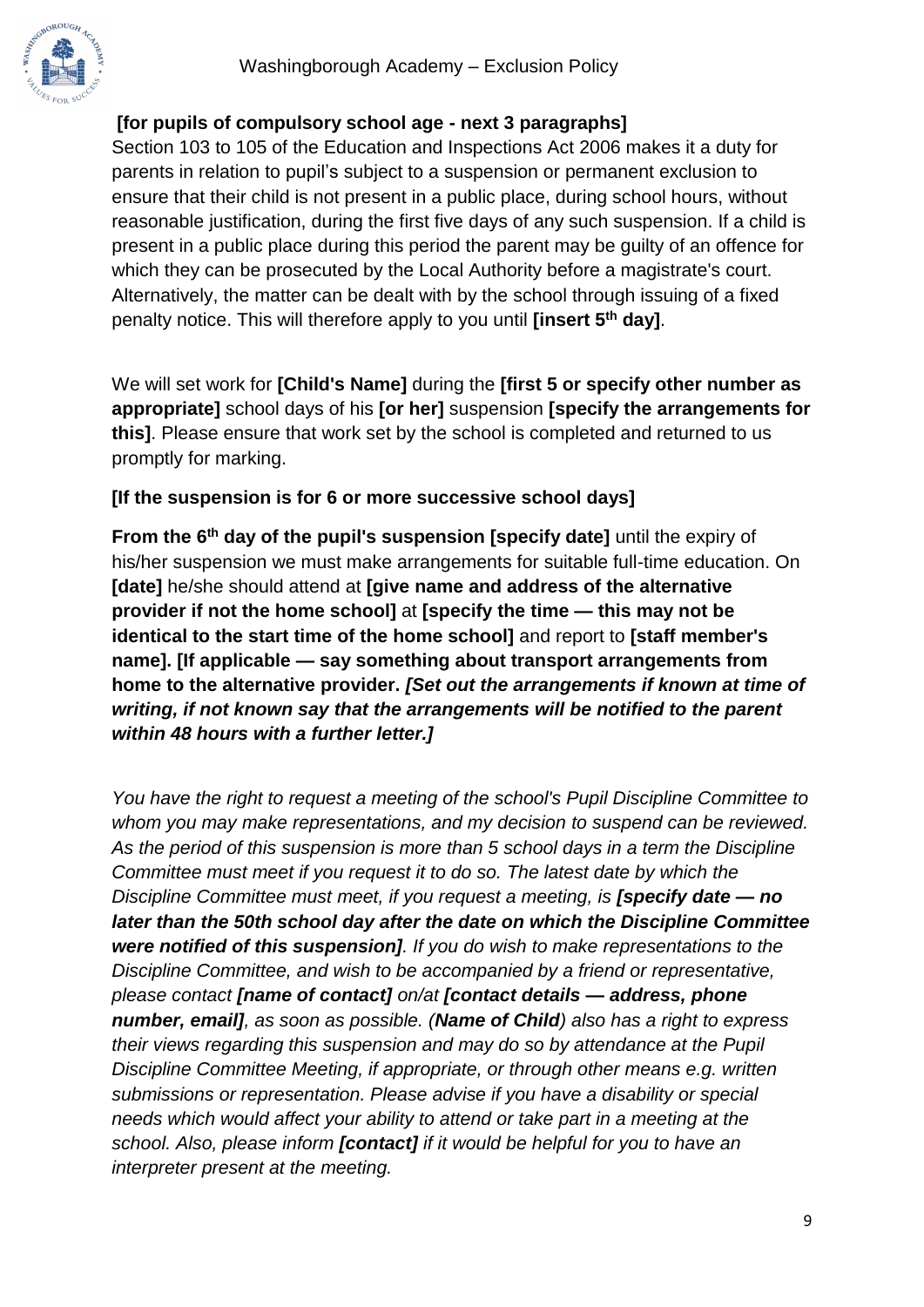#### **[for pupils of compulsory school age - next 3 paragraphs]**

Section 103 to 105 of the Education and Inspections Act 2006 makes it a duty for parents in relation to pupil's subject to a suspension or permanent exclusion to ensure that their child is not present in a public place, during school hours, without reasonable justification, during the first five days of any such suspension. If a child is present in a public place during this period the parent may be guilty of an offence for which they can be prosecuted by the Local Authority before a magistrate's court. Alternatively, the matter can be dealt with by the school through issuing of a fixed penalty notice. This will therefore apply to you until **[insert 5th day]**.

We will set work for **[Child's Name]** during the **[first 5 or specify other number as appropriate]** school days of his **[or her]** suspension **[specify the arrangements for this]**. Please ensure that work set by the school is completed and returned to us promptly for marking.

#### **[If the suspension is for 6 or more successive school days]**

**From the 6th day of the pupil's suspension [specify date]** until the expiry of his/her suspension we must make arrangements for suitable full-time education. On **[date]** he/she should attend at **[give name and address of the alternative provider if not the home school]** at **[specify the time — this may not be identical to the start time of the home school]** and report to **[staff member's name]. [If applicable — say something about transport arrangements from home to the alternative provider.** *[Set out the arrangements if known at time of writing, if not known say that the arrangements will be notified to the parent within 48 hours with a further letter.]*

*You have the right to request a meeting of the school's Pupil Discipline Committee to whom you may make representations, and my decision to suspend can be reviewed. As the period of this suspension is more than 5 school days in a term the Discipline Committee must meet if you request it to do so. The latest date by which the Discipline Committee must meet, if you request a meeting, is [specify date — no later than the 50th school day after the date on which the Discipline Committee were notified of this suspension]. If you do wish to make representations to the Discipline Committee, and wish to be accompanied by a friend or representative, please contact [name of contact] on/at [contact details — address, phone number, email], as soon as possible. (Name of Child) also has a right to express their views regarding this suspension and may do so by attendance at the Pupil Discipline Committee Meeting, if appropriate, or through other means e.g. written submissions or representation. Please advise if you have a disability or special needs which would affect your ability to attend or take part in a meeting at the school. Also, please inform [contact] if it would be helpful for you to have an interpreter present at the meeting.*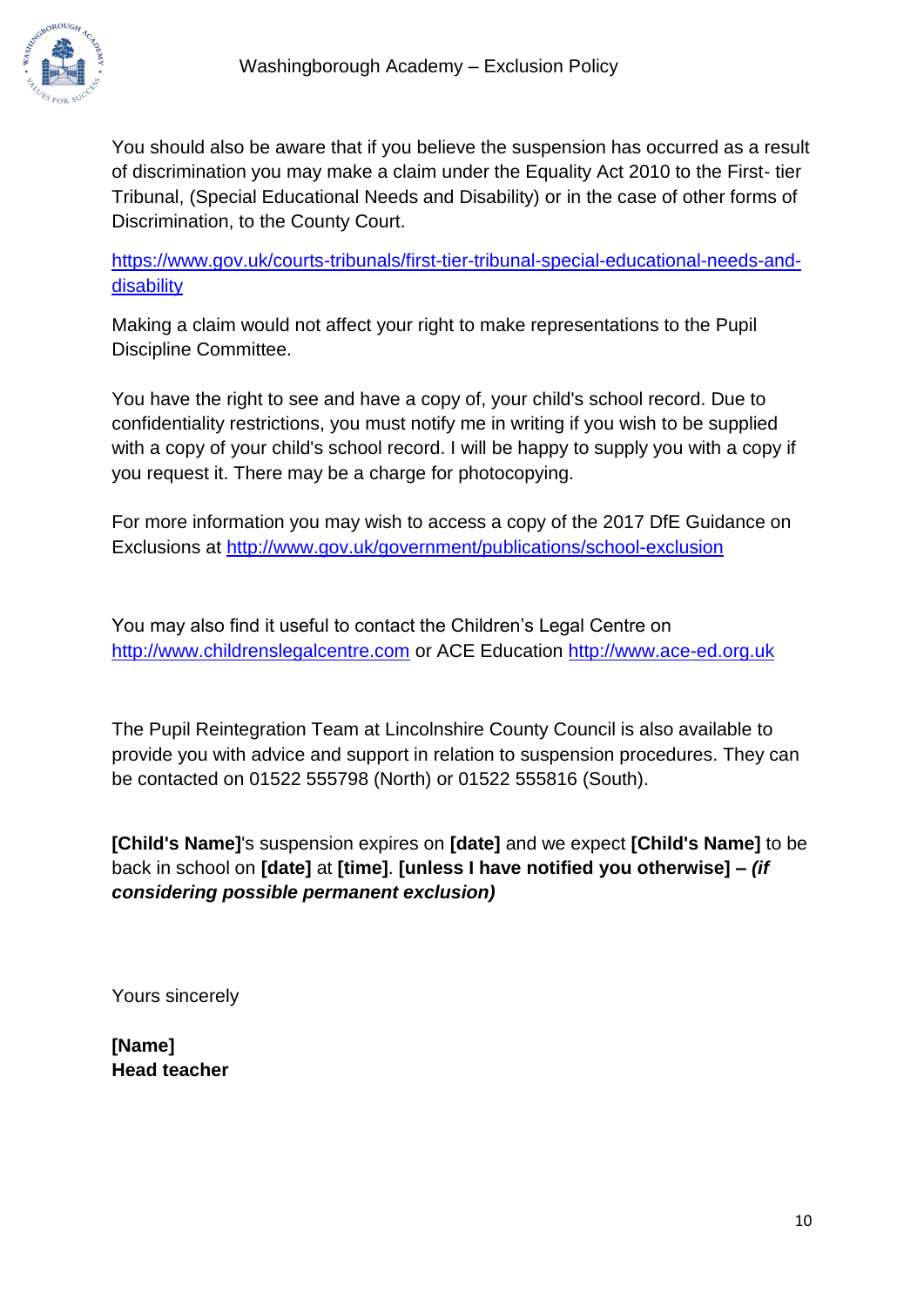

You should also be aware that if you believe the suspension has occurred as a result of discrimination you may make a claim under the Equality Act 2010 to the First- tier Tribunal, (Special Educational Needs and Disability) or in the case of other forms of Discrimination, to the County Court.

[https://www.gov.uk/courts-tribunals/first-tier-tribunal-special-educational-needs-and](https://www.gov.uk/courts-tribunals/first-tier-tribunal-special-educational-needs-and-disability)[disability](https://www.gov.uk/courts-tribunals/first-tier-tribunal-special-educational-needs-and-disability)

Making a claim would not affect your right to make representations to the Pupil Discipline Committee.

You have the right to see and have a copy of, your child's school record. Due to confidentiality restrictions, you must notify me in writing if you wish to be supplied with a copy of your child's school record. I will be happy to supply you with a copy if you request it. There may be a charge for photocopying.

For more information you may wish to access a copy of the 2017 DfE Guidance on Exclusions at<http://www.gov.uk/government/publications/school-exclusion>

You may also find it useful to contact the Children's Legal Centre on [http://www.childrenslegalcentre.com](http://www.childrenslegalcentre.com/) or ACE Education [http://www.ace-ed.org.uk](http://www.ace-ed.org.uk/)

The Pupil Reintegration Team at Lincolnshire County Council is also available to provide you with advice and support in relation to suspension procedures. They can be contacted on 01522 555798 (North) or 01522 555816 (South).

**[Child's Name]**'s suspension expires on **[date]** and we expect **[Child's Name]** to be back in school on **[date]** at **[time]**. **[unless I have notified you otherwise] –** *(if considering possible permanent exclusion)*

Yours sincerely

**[Name] Head teacher**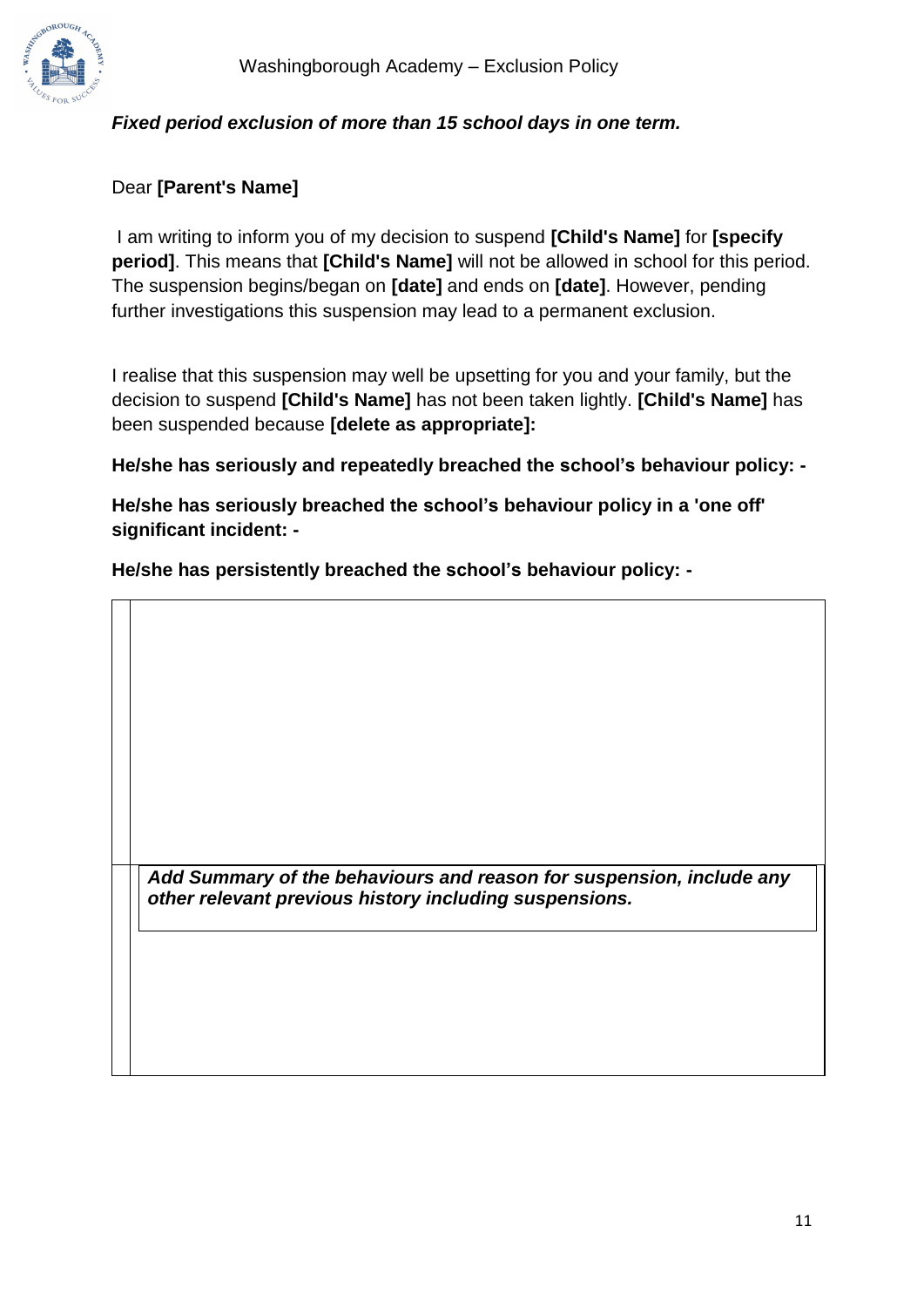

#### *Fixed period exclusion of more than 15 school days in one term.*

#### Dear **[Parent's Name]**

I am writing to inform you of my decision to suspend **[Child's Name]** for **[specify period]**. This means that **[Child's Name]** will not be allowed in school for this period. The suspension begins/began on **[date]** and ends on **[date]**. However, pending further investigations this suspension may lead to a permanent exclusion.

I realise that this suspension may well be upsetting for you and your family, but the decision to suspend **[Child's Name]** has not been taken lightly. **[Child's Name]** has been suspended because **[delete as appropriate]:**

**He/she has seriously and repeatedly breached the school's behaviour policy: -**

**He/she has seriously breached the school's behaviour policy in a 'one off' significant incident: -**

**He/she has persistently breached the school's behaviour policy: -**

*Add Summary of the behaviours and reason for suspension, include any other relevant previous history including suspensions.*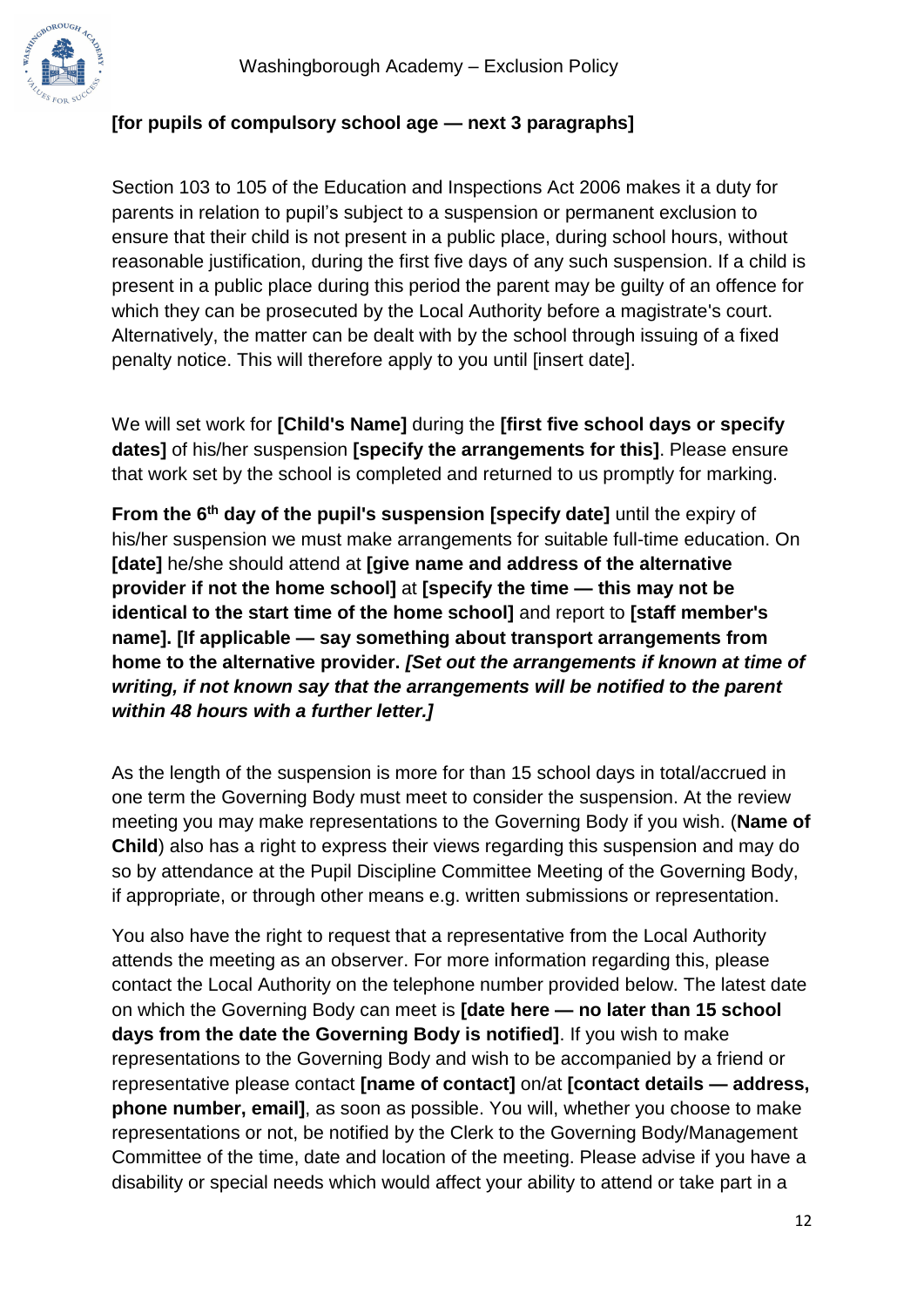

#### **[for pupils of compulsory school age — next 3 paragraphs]**

Section 103 to 105 of the Education and Inspections Act 2006 makes it a duty for parents in relation to pupil's subject to a suspension or permanent exclusion to ensure that their child is not present in a public place, during school hours, without reasonable justification, during the first five days of any such suspension. If a child is present in a public place during this period the parent may be guilty of an offence for which they can be prosecuted by the Local Authority before a magistrate's court. Alternatively, the matter can be dealt with by the school through issuing of a fixed penalty notice. This will therefore apply to you until [insert date].

We will set work for **[Child's Name]** during the **[first five school days or specify dates]** of his/her suspension **[specify the arrangements for this]**. Please ensure that work set by the school is completed and returned to us promptly for marking.

**From the 6th day of the pupil's suspension [specify date]** until the expiry of his/her suspension we must make arrangements for suitable full-time education. On **[date]** he/she should attend at **[give name and address of the alternative provider if not the home school]** at **[specify the time — this may not be identical to the start time of the home school]** and report to **[staff member's name]. [If applicable — say something about transport arrangements from home to the alternative provider.** *[Set out the arrangements if known at time of writing, if not known say that the arrangements will be notified to the parent within 48 hours with a further letter.]*

As the length of the suspension is more for than 15 school days in total/accrued in one term the Governing Body must meet to consider the suspension. At the review meeting you may make representations to the Governing Body if you wish. (**Name of Child**) also has a right to express their views regarding this suspension and may do so by attendance at the Pupil Discipline Committee Meeting of the Governing Body, if appropriate, or through other means e.g. written submissions or representation.

You also have the right to request that a representative from the Local Authority attends the meeting as an observer. For more information regarding this, please contact the Local Authority on the telephone number provided below. The latest date on which the Governing Body can meet is **[date here — no later than 15 school days from the date the Governing Body is notified]**. If you wish to make representations to the Governing Body and wish to be accompanied by a friend or representative please contact **[name of contact]** on/at **[contact details — address, phone number, email]**, as soon as possible. You will, whether you choose to make representations or not, be notified by the Clerk to the Governing Body/Management Committee of the time, date and location of the meeting. Please advise if you have a disability or special needs which would affect your ability to attend or take part in a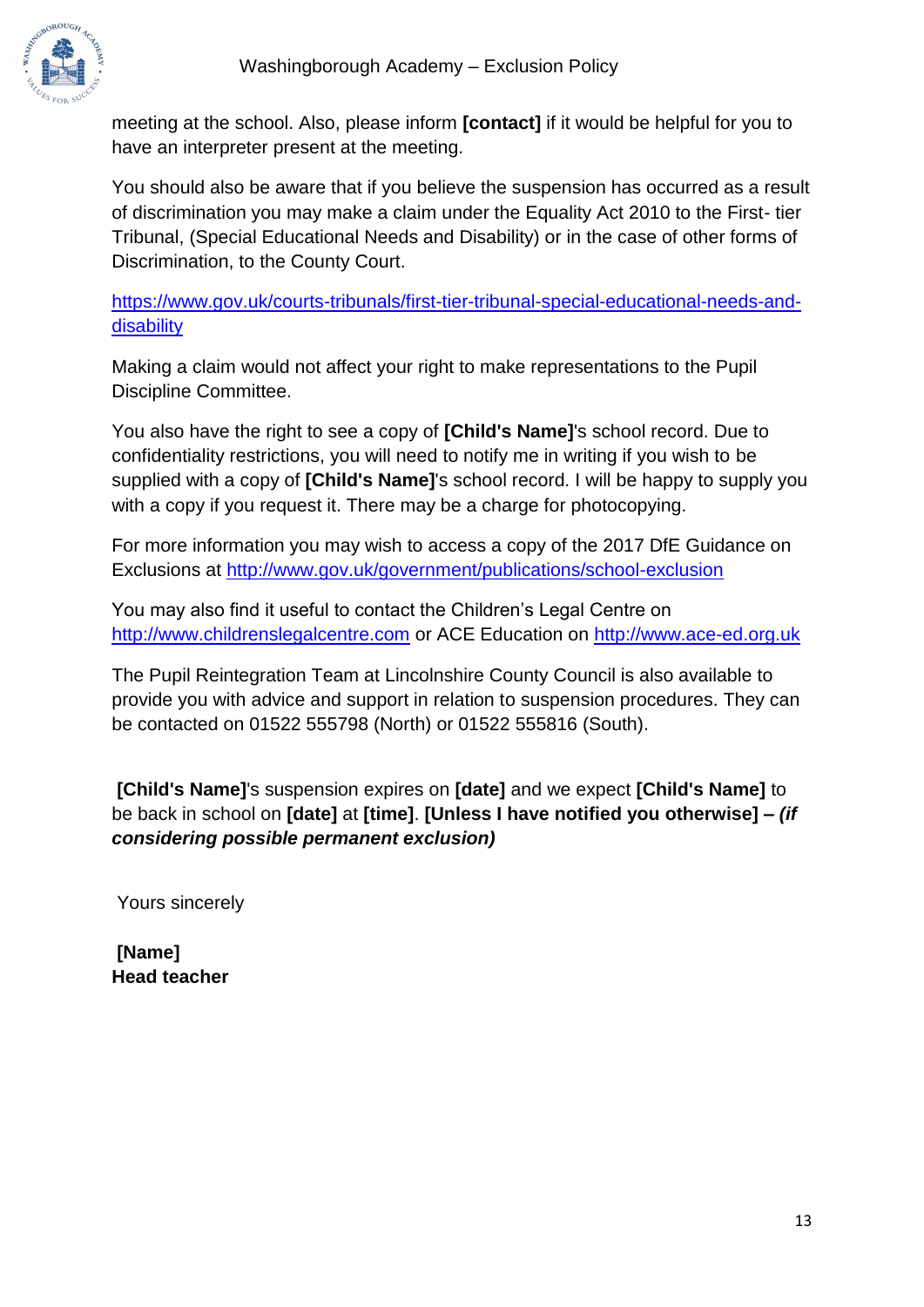

meeting at the school. Also, please inform **[contact]** if it would be helpful for you to have an interpreter present at the meeting.

You should also be aware that if you believe the suspension has occurred as a result of discrimination you may make a claim under the Equality Act 2010 to the First- tier Tribunal, (Special Educational Needs and Disability) or in the case of other forms of Discrimination, to the County Court.

[https://www.gov.uk/courts-tribunals/first-tier-tribunal-special-educational-needs-and](https://www.gov.uk/courts-tribunals/first-tier-tribunal-special-educational-needs-and-disability)[disability](https://www.gov.uk/courts-tribunals/first-tier-tribunal-special-educational-needs-and-disability)

Making a claim would not affect your right to make representations to the Pupil Discipline Committee.

You also have the right to see a copy of **[Child's Name]**'s school record. Due to confidentiality restrictions, you will need to notify me in writing if you wish to be supplied with a copy of **[Child's Name]**'s school record. I will be happy to supply you with a copy if you request it. There may be a charge for photocopying.

For more information you may wish to access a copy of the 2017 DfE Guidance on Exclusions at<http://www.gov.uk/government/publications/school-exclusion>

You may also find it useful to contact the Children's Legal Centre on [http://www.childrenslegalcentre.com](http://www.childrenslegalcentre.com/) or ACE Education on [http://www.ace-ed.org.uk](http://www.ace-ed.org.uk/)

The Pupil Reintegration Team at Lincolnshire County Council is also available to provide you with advice and support in relation to suspension procedures. They can be contacted on 01522 555798 (North) or 01522 555816 (South).

**[Child's Name]**'s suspension expires on **[date]** and we expect **[Child's Name]** to be back in school on **[date]** at **[time]**. **[Unless I have notified you otherwise] –** *(if considering possible permanent exclusion)*

Yours sincerely

**[Name] Head teacher**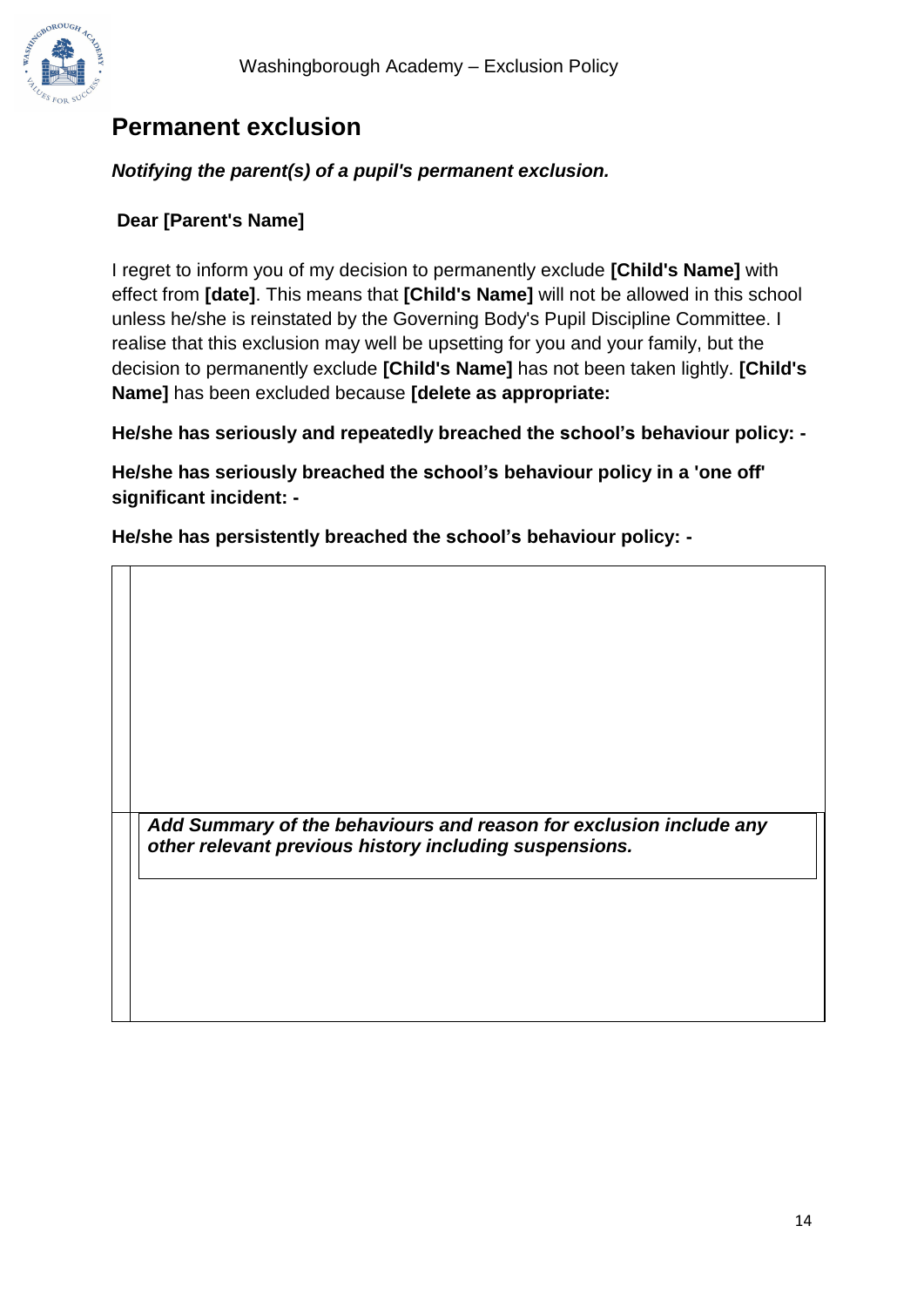

## **Permanent exclusion**

#### *Notifying the parent(s) of a pupil's permanent exclusion.*

#### **Dear [Parent's Name]**

I regret to inform you of my decision to permanently exclude **[Child's Name]** with effect from **[date]**. This means that **[Child's Name]** will not be allowed in this school unless he/she is reinstated by the Governing Body's Pupil Discipline Committee. I realise that this exclusion may well be upsetting for you and your family, but the decision to permanently exclude **[Child's Name]** has not been taken lightly. **[Child's Name]** has been excluded because **[delete as appropriate:**

**He/she has seriously and repeatedly breached the school's behaviour policy: -**

**He/she has seriously breached the school's behaviour policy in a 'one off' significant incident: -**

**He/she has persistently breached the school's behaviour policy: -**

*Add Summary of the behaviours and reason for exclusion include any other relevant previous history including suspensions.*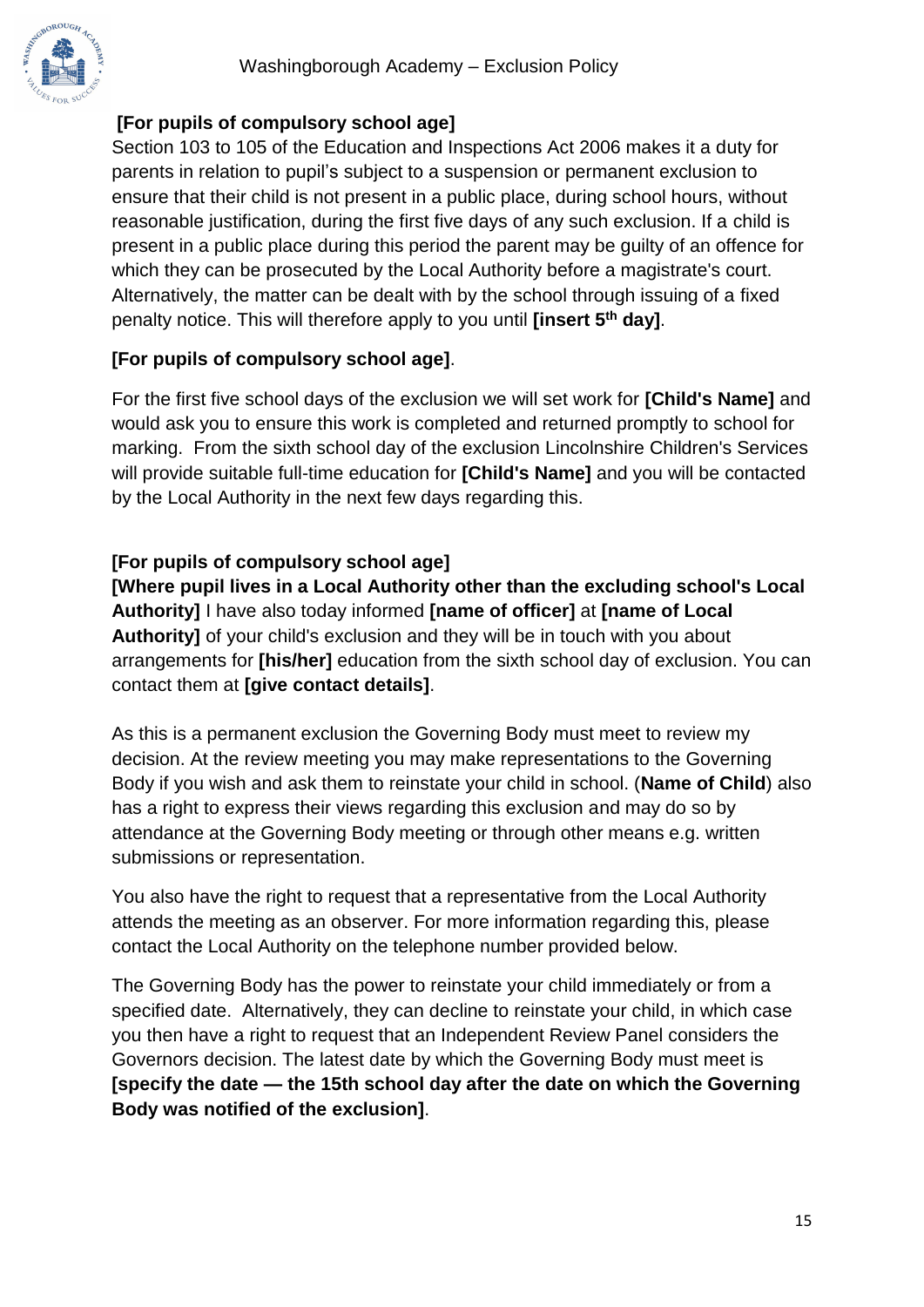#### **[For pupils of compulsory school age]**

Section 103 to 105 of the Education and Inspections Act 2006 makes it a duty for parents in relation to pupil's subject to a suspension or permanent exclusion to ensure that their child is not present in a public place, during school hours, without reasonable justification, during the first five days of any such exclusion. If a child is present in a public place during this period the parent may be guilty of an offence for which they can be prosecuted by the Local Authority before a magistrate's court. Alternatively, the matter can be dealt with by the school through issuing of a fixed penalty notice. This will therefore apply to you until **[insert 5th day]**.

#### **[For pupils of compulsory school age]**.

For the first five school days of the exclusion we will set work for **[Child's Name]** and would ask you to ensure this work is completed and returned promptly to school for marking. From the sixth school day of the exclusion Lincolnshire Children's Services will provide suitable full-time education for **[Child's Name]** and you will be contacted by the Local Authority in the next few days regarding this.

#### **[For pupils of compulsory school age]**

**[Where pupil lives in a Local Authority other than the excluding school's Local Authority]** I have also today informed **[name of officer]** at **[name of Local Authority]** of your child's exclusion and they will be in touch with you about arrangements for **[his/her]** education from the sixth school day of exclusion. You can contact them at **[give contact details]**.

As this is a permanent exclusion the Governing Body must meet to review my decision. At the review meeting you may make representations to the Governing Body if you wish and ask them to reinstate your child in school. (**Name of Child**) also has a right to express their views regarding this exclusion and may do so by attendance at the Governing Body meeting or through other means e.g. written submissions or representation.

You also have the right to request that a representative from the Local Authority attends the meeting as an observer. For more information regarding this, please contact the Local Authority on the telephone number provided below.

The Governing Body has the power to reinstate your child immediately or from a specified date. Alternatively, they can decline to reinstate your child, in which case you then have a right to request that an Independent Review Panel considers the Governors decision. The latest date by which the Governing Body must meet is **[specify the date — the 15th school day after the date on which the Governing Body was notified of the exclusion]**.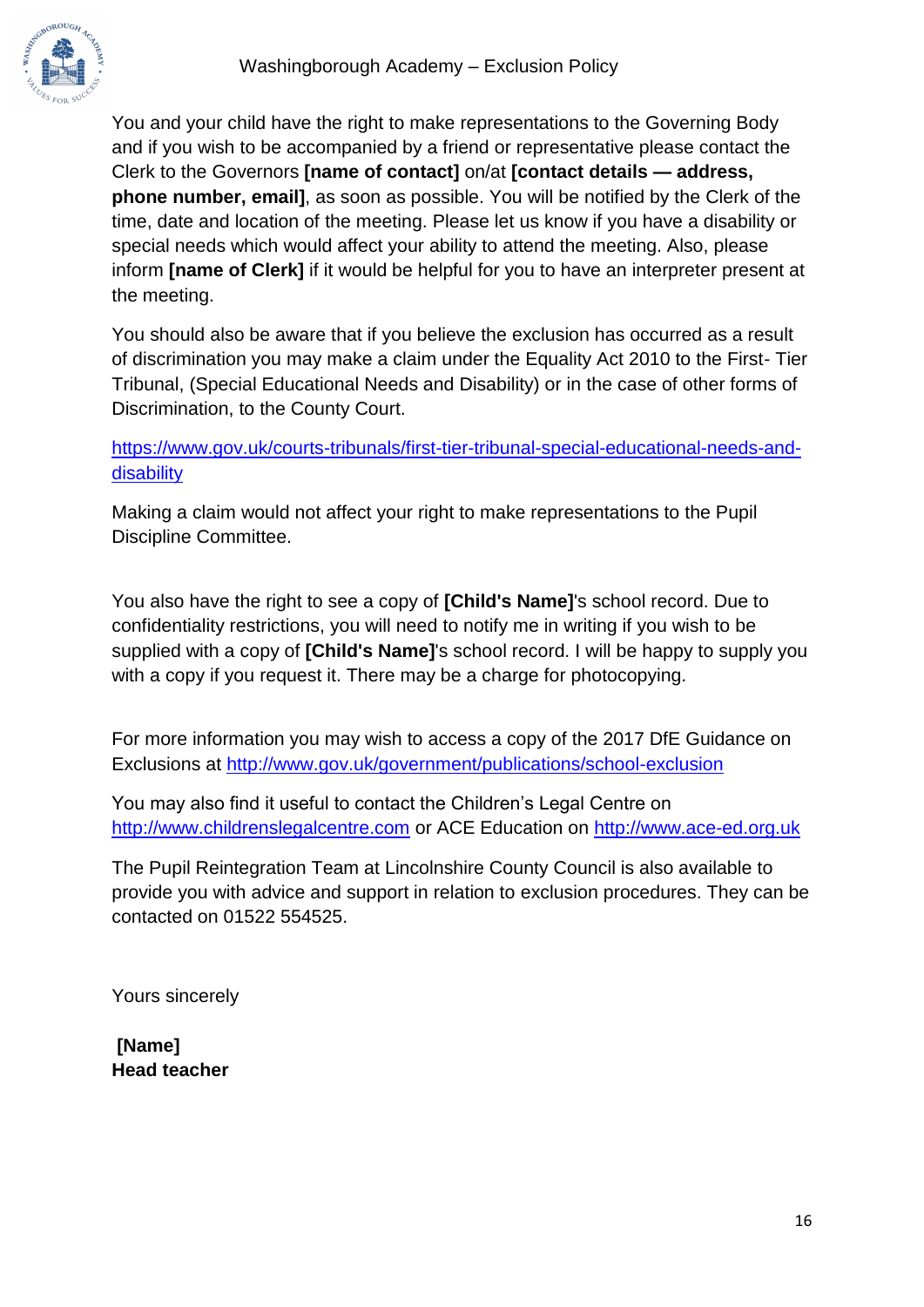

You and your child have the right to make representations to the Governing Body and if you wish to be accompanied by a friend or representative please contact the Clerk to the Governors **[name of contact]** on/at **[contact details — address, phone number, email]**, as soon as possible. You will be notified by the Clerk of the time, date and location of the meeting. Please let us know if you have a disability or special needs which would affect your ability to attend the meeting. Also, please inform **[name of Clerk]** if it would be helpful for you to have an interpreter present at the meeting.

You should also be aware that if you believe the exclusion has occurred as a result of discrimination you may make a claim under the Equality Act 2010 to the First- Tier Tribunal, (Special Educational Needs and Disability) or in the case of other forms of Discrimination, to the County Court.

[https://www.gov.uk/courts-tribunals/first-tier-tribunal-special-educational-needs-and](https://www.gov.uk/courts-tribunals/first-tier-tribunal-special-educational-needs-and-disability)[disability](https://www.gov.uk/courts-tribunals/first-tier-tribunal-special-educational-needs-and-disability)

Making a claim would not affect your right to make representations to the Pupil Discipline Committee.

You also have the right to see a copy of **[Child's Name]**'s school record. Due to confidentiality restrictions, you will need to notify me in writing if you wish to be supplied with a copy of **[Child's Name]**'s school record. I will be happy to supply you with a copy if you request it. There may be a charge for photocopying.

For more information you may wish to access a copy of the 2017 DfE Guidance on Exclusions at<http://www.gov.uk/government/publications/school-exclusion>

You may also find it useful to contact the Children's Legal Centre on [http://www.childrenslegalcentre.com](http://www.childrenslegalcentre.com/) or ACE Education on [http://www.ace-ed.org.uk](http://www.ace-ed.org.uk/)

The Pupil Reintegration Team at Lincolnshire County Council is also available to provide you with advice and support in relation to exclusion procedures. They can be contacted on 01522 554525.

Yours sincerely

**[Name] Head teacher**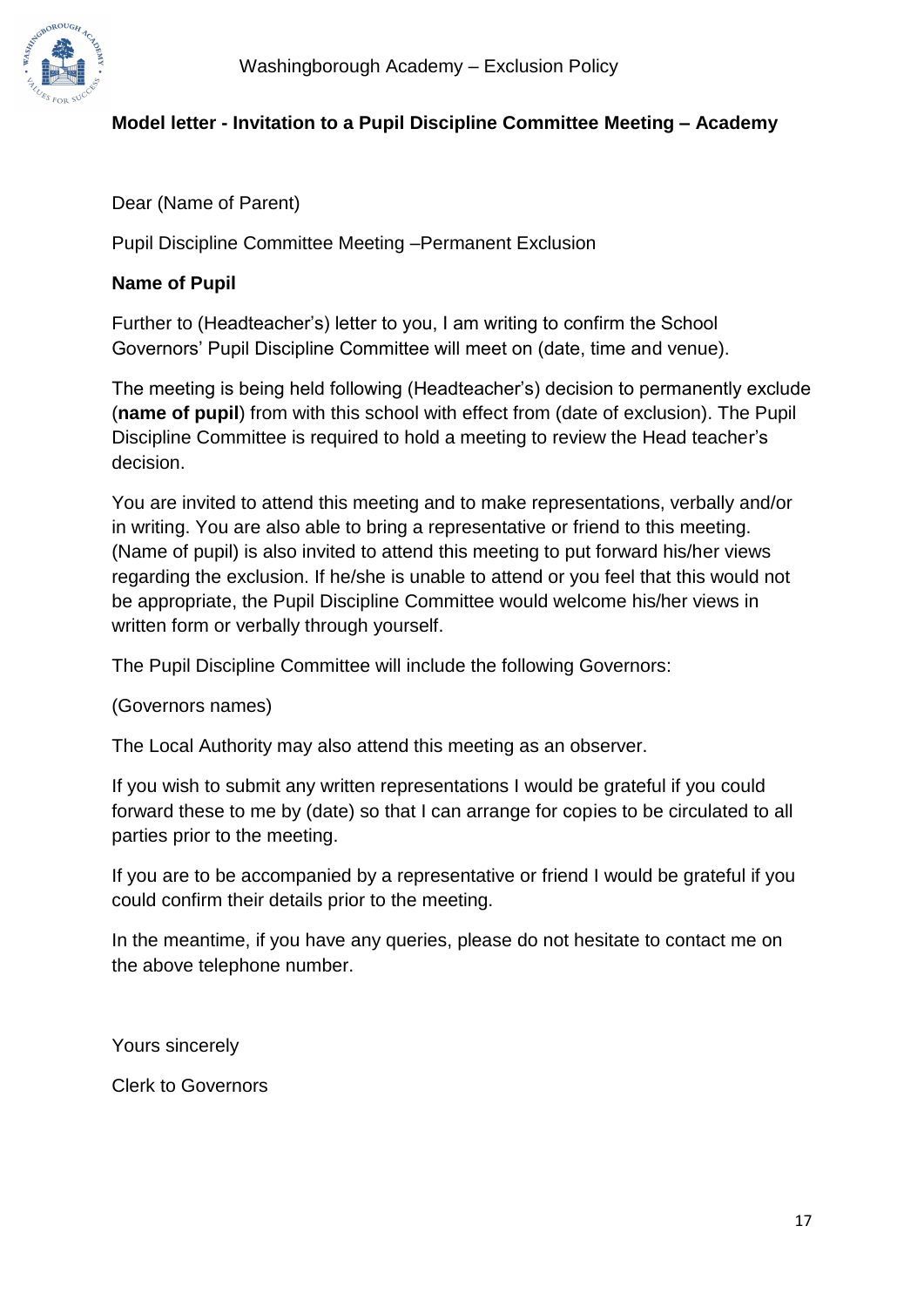#### **Model letter - Invitation to a Pupil Discipline Committee Meeting – Academy**

Dear (Name of Parent)

Pupil Discipline Committee Meeting –Permanent Exclusion

#### **Name of Pupil**

Further to (Headteacher's) letter to you, I am writing to confirm the School Governors' Pupil Discipline Committee will meet on (date, time and venue).

The meeting is being held following (Headteacher's) decision to permanently exclude (**name of pupil**) from with this school with effect from (date of exclusion). The Pupil Discipline Committee is required to hold a meeting to review the Head teacher's decision.

You are invited to attend this meeting and to make representations, verbally and/or in writing. You are also able to bring a representative or friend to this meeting. (Name of pupil) is also invited to attend this meeting to put forward his/her views regarding the exclusion. If he/she is unable to attend or you feel that this would not be appropriate, the Pupil Discipline Committee would welcome his/her views in written form or verbally through yourself.

The Pupil Discipline Committee will include the following Governors:

(Governors names)

The Local Authority may also attend this meeting as an observer.

If you wish to submit any written representations I would be grateful if you could forward these to me by (date) so that I can arrange for copies to be circulated to all parties prior to the meeting.

If you are to be accompanied by a representative or friend I would be grateful if you could confirm their details prior to the meeting.

In the meantime, if you have any queries, please do not hesitate to contact me on the above telephone number.

Yours sincerely

Clerk to Governors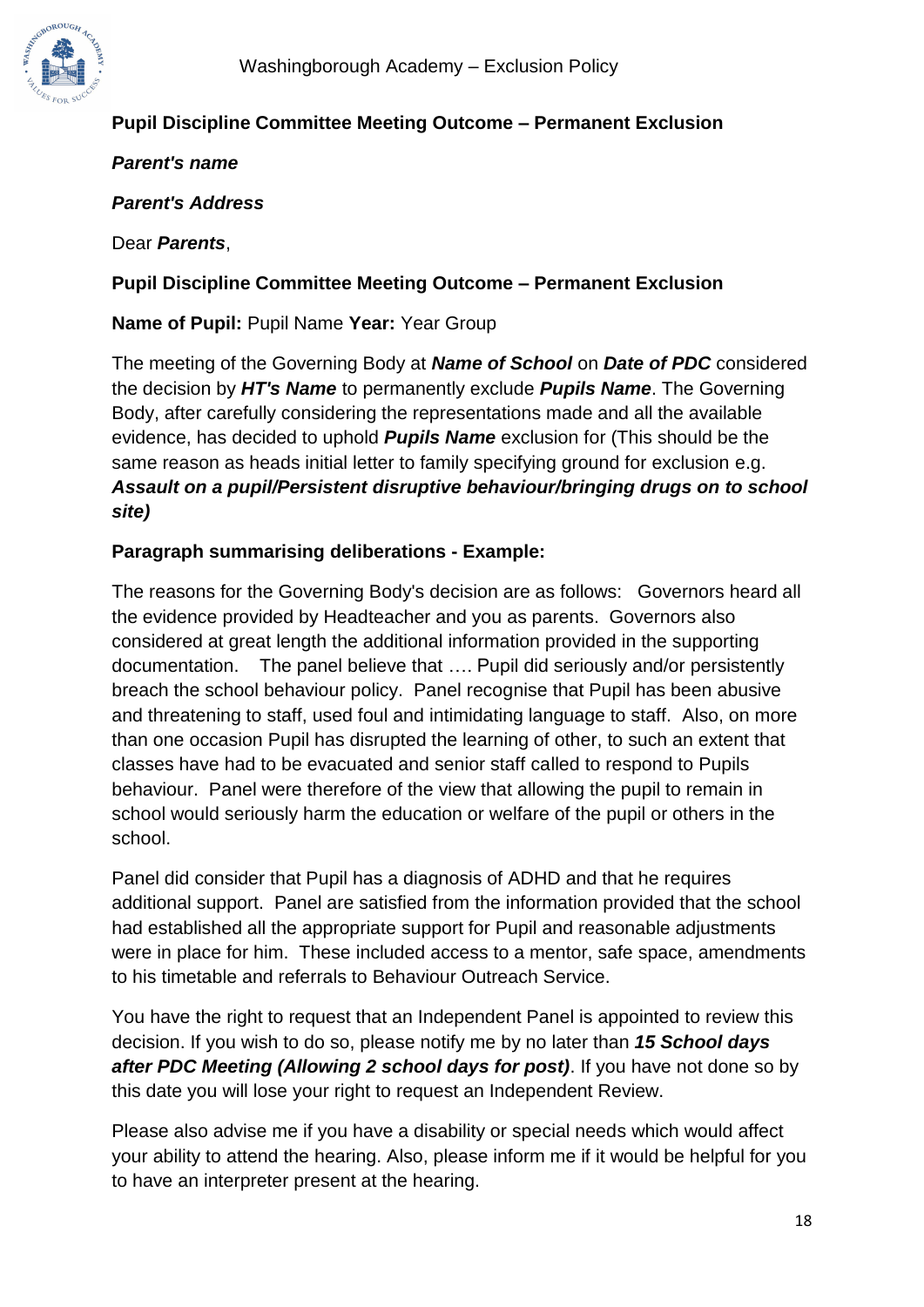

#### **Pupil Discipline Committee Meeting Outcome – Permanent Exclusion**

*Parent's name*

*Parent's Address*

Dear *Parents*,

#### **Pupil Discipline Committee Meeting Outcome – Permanent Exclusion**

**Name of Pupil:** Pupil Name **Year:** Year Group

The meeting of the Governing Body at *Name of School* on *Date of PDC* considered the decision by *HT's Name* to permanently exclude *Pupils Name*. The Governing Body, after carefully considering the representations made and all the available evidence, has decided to uphold *Pupils Name* exclusion for (This should be the same reason as heads initial letter to family specifying ground for exclusion e.g. *Assault on a pupil/Persistent disruptive behaviour/bringing drugs on to school site)* 

#### **Paragraph summarising deliberations - Example:**

The reasons for the Governing Body's decision are as follows: Governors heard all the evidence provided by Headteacher and you as parents. Governors also considered at great length the additional information provided in the supporting documentation. The panel believe that …. Pupil did seriously and/or persistently breach the school behaviour policy. Panel recognise that Pupil has been abusive and threatening to staff, used foul and intimidating language to staff. Also, on more than one occasion Pupil has disrupted the learning of other, to such an extent that classes have had to be evacuated and senior staff called to respond to Pupils behaviour. Panel were therefore of the view that allowing the pupil to remain in school would seriously harm the education or welfare of the pupil or others in the school.

Panel did consider that Pupil has a diagnosis of ADHD and that he requires additional support. Panel are satisfied from the information provided that the school had established all the appropriate support for Pupil and reasonable adjustments were in place for him. These included access to a mentor, safe space, amendments to his timetable and referrals to Behaviour Outreach Service.

You have the right to request that an Independent Panel is appointed to review this decision. If you wish to do so, please notify me by no later than *15 School days after PDC Meeting (Allowing 2 school days for post)*. If you have not done so by this date you will lose your right to request an Independent Review.

Please also advise me if you have a disability or special needs which would affect your ability to attend the hearing. Also, please inform me if it would be helpful for you to have an interpreter present at the hearing.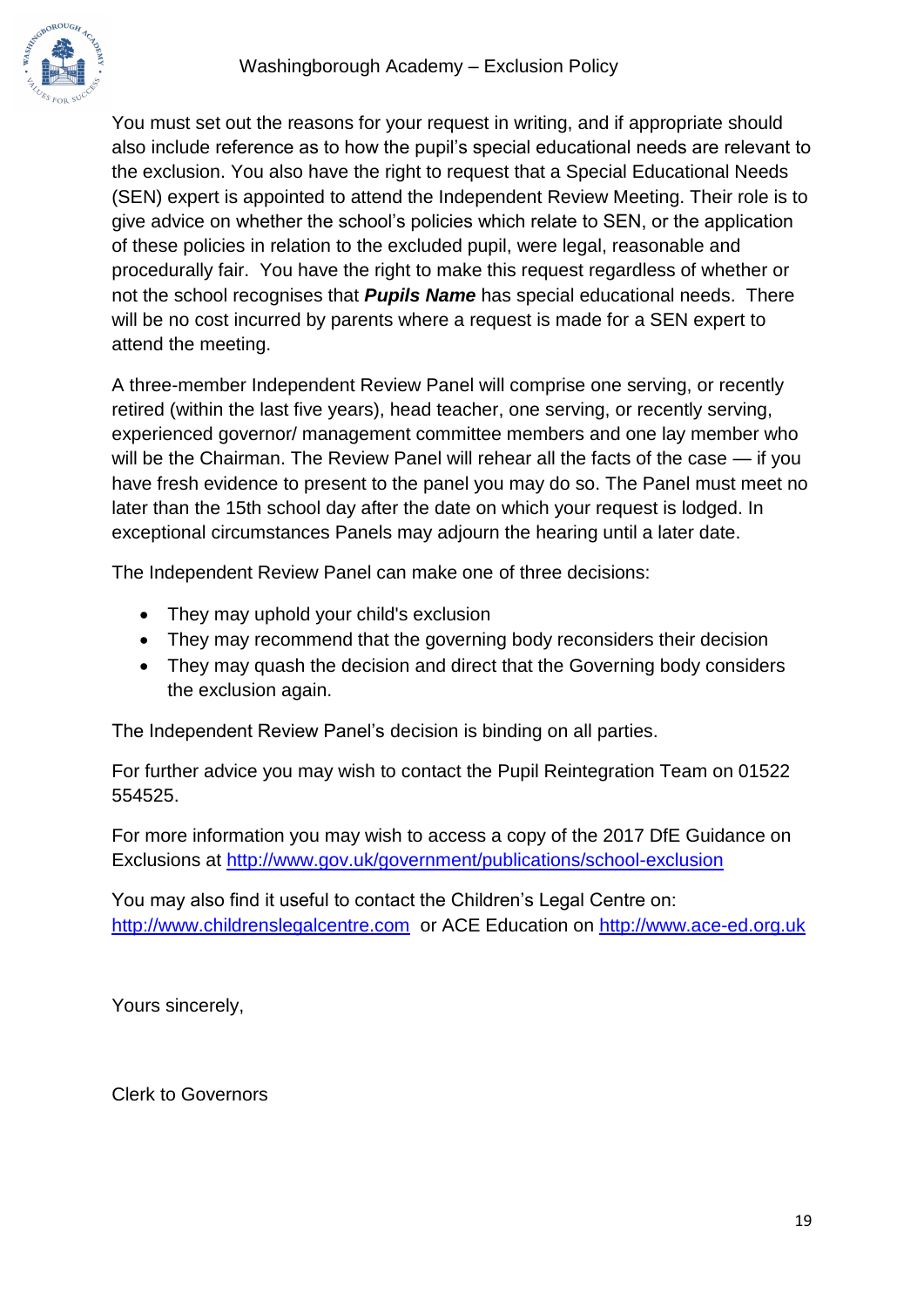

You must set out the reasons for your request in writing, and if appropriate should also include reference as to how the pupil's special educational needs are relevant to the exclusion. You also have the right to request that a Special Educational Needs (SEN) expert is appointed to attend the Independent Review Meeting. Their role is to give advice on whether the school's policies which relate to SEN, or the application of these policies in relation to the excluded pupil, were legal, reasonable and procedurally fair. You have the right to make this request regardless of whether or not the school recognises that *Pupils Name* has special educational needs. There will be no cost incurred by parents where a request is made for a SEN expert to attend the meeting.

A three-member Independent Review Panel will comprise one serving, or recently retired (within the last five years), head teacher, one serving, or recently serving, experienced governor/ management committee members and one lay member who will be the Chairman. The Review Panel will rehear all the facts of the case — if you have fresh evidence to present to the panel you may do so. The Panel must meet no later than the 15th school day after the date on which your request is lodged. In exceptional circumstances Panels may adjourn the hearing until a later date.

The Independent Review Panel can make one of three decisions:

- They may uphold your child's exclusion
- They may recommend that the governing body reconsiders their decision
- They may quash the decision and direct that the Governing body considers the exclusion again.

The Independent Review Panel's decision is binding on all parties.

For further advice you may wish to contact the Pupil Reintegration Team on 01522 554525.

For more information you may wish to access a copy of the 2017 DfE Guidance on Exclusions at<http://www.gov.uk/government/publications/school-exclusion>

You may also find it useful to contact the Children's Legal Centre on: [http://www.childrenslegalcentre.com](http://www.childrenslegalcentre.com/) or ACE Education on [http://www.ace-ed.org.uk](http://www.ace-ed.org.uk/)

Yours sincerely,

Clerk to Governors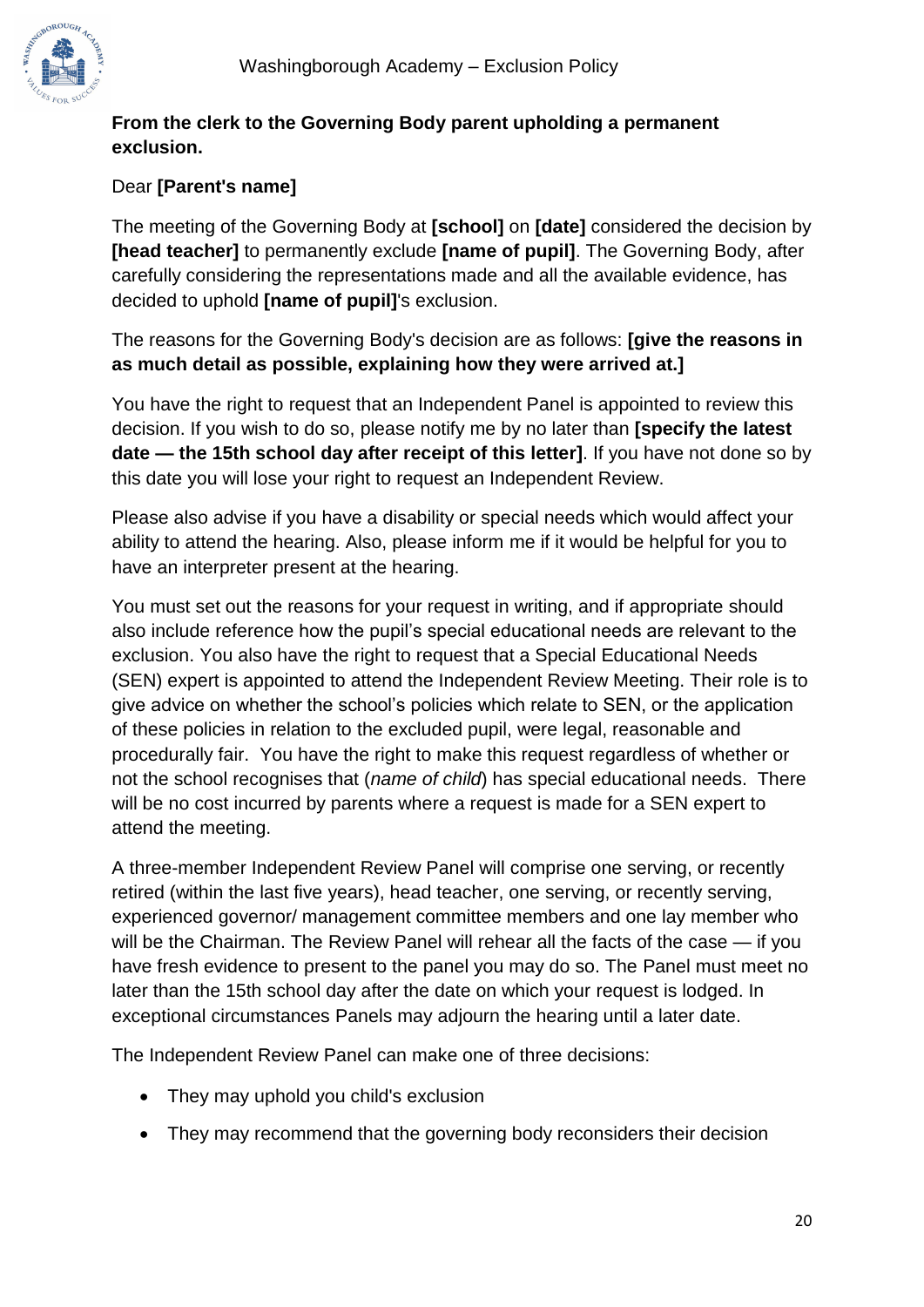

#### **From the clerk to the Governing Body parent upholding a permanent exclusion.**

### Dear **[Parent's name]**

The meeting of the Governing Body at **[school]** on **[date]** considered the decision by **[head teacher]** to permanently exclude **[name of pupil]**. The Governing Body, after carefully considering the representations made and all the available evidence, has decided to uphold **[name of pupil]**'s exclusion.

The reasons for the Governing Body's decision are as follows: **[give the reasons in as much detail as possible, explaining how they were arrived at.]**

You have the right to request that an Independent Panel is appointed to review this decision. If you wish to do so, please notify me by no later than **[specify the latest date — the 15th school day after receipt of this letter]**. If you have not done so by this date you will lose your right to request an Independent Review.

Please also advise if you have a disability or special needs which would affect your ability to attend the hearing. Also, please inform me if it would be helpful for you to have an interpreter present at the hearing.

You must set out the reasons for your request in writing, and if appropriate should also include reference how the pupil's special educational needs are relevant to the exclusion. You also have the right to request that a Special Educational Needs (SEN) expert is appointed to attend the Independent Review Meeting. Their role is to give advice on whether the school's policies which relate to SEN, or the application of these policies in relation to the excluded pupil, were legal, reasonable and procedurally fair. You have the right to make this request regardless of whether or not the school recognises that (*name of child*) has special educational needs. There will be no cost incurred by parents where a request is made for a SEN expert to attend the meeting.

A three-member Independent Review Panel will comprise one serving, or recently retired (within the last five years), head teacher, one serving, or recently serving, experienced governor/ management committee members and one lay member who will be the Chairman. The Review Panel will rehear all the facts of the case — if you have fresh evidence to present to the panel you may do so. The Panel must meet no later than the 15th school day after the date on which your request is lodged. In exceptional circumstances Panels may adjourn the hearing until a later date.

The Independent Review Panel can make one of three decisions:

- They may uphold you child's exclusion
- They may recommend that the governing body reconsiders their decision